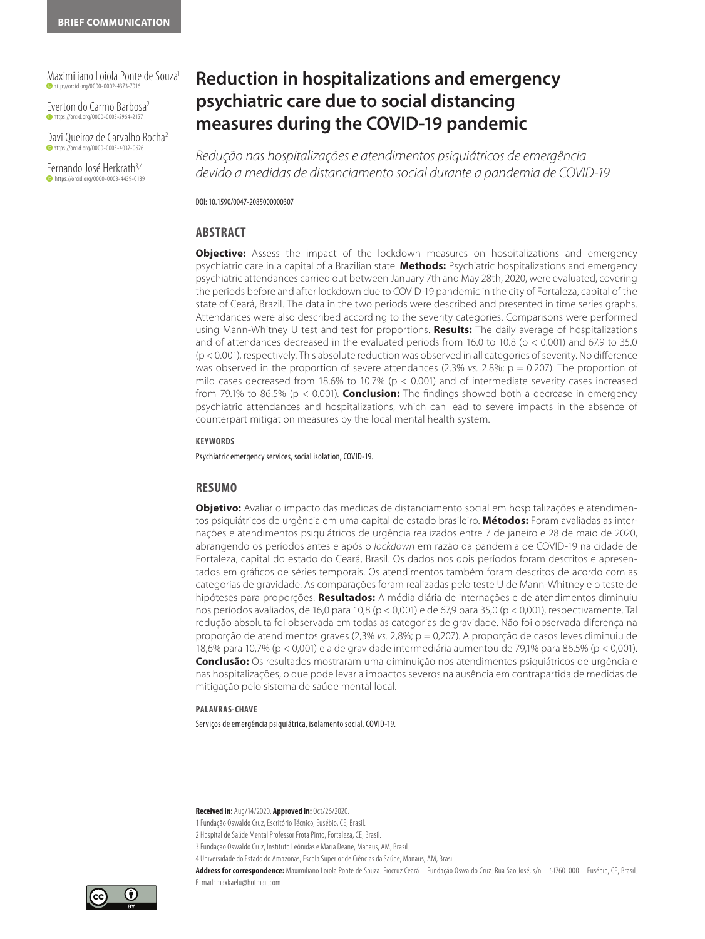Maximiliano Loiola Ponte de Souza1 **D** http://orcid.org/0000-0002-4373-7016

Everton do Carmo Barbosa2 **b** https://orcid.org/0000-0003-2964-2157

Davi Queiroz de Carvalho Rocha2 https://orcid.org/0000-0003-4032-0626

Fernando José Herkrath<sup>3,4</sup> **https://orcid.org/0000-0003-4439-0189** 

# **Reduction in hospitalizations and emergency psychiatric care due to social distancing measures during the COVID-19 pandemic**

*Redução nas hospitalizações e atendimentos psiquiátricos de emergência devido a medidas de distanciamento social durante a pandemia de COVID-19* 

DOI: 10.1590/0047-2085000000307

#### **ABSTRACT**

**Objective:** Assess the impact of the lockdown measures on hospitalizations and emergency psychiatric care in a capital of a Brazilian state. **Methods:** Psychiatric hospitalizations and emergency psychiatric attendances carried out between January 7th and May 28th, 2020, were evaluated, covering the periods before and after lockdown due to COVID-19 pandemic in the city of Fortaleza, capital of the state of Ceará, Brazil. The data in the two periods were described and presented in time series graphs. Attendances were also described according to the severity categories. Comparisons were performed using Mann-Whitney U test and test for proportions. **Results:** The daily average of hospitalizations and of attendances decreased in the evaluated periods from 16.0 to 10.8 ( $p < 0.001$ ) and 67.9 to 35.0 (p < 0.001), respectively. This absolute reduction was observed in all categories of severity. No difference was observed in the proportion of severe attendances (2.3% *vs.* 2.8%; p = 0.207). The proportion of mild cases decreased from 18.6% to 10.7% (p < 0.001) and of intermediate severity cases increased from 79.1% to 86.5% (p < 0.001). **Conclusion:** The findings showed both a decrease in emergency psychiatric attendances and hospitalizations, which can lead to severe impacts in the absence of counterpart mitigation measures by the local mental health system.

#### **KEYWORDS**

Psychiatric emergency services, social isolation, COVID-19.

#### **RESUMO**

**Objetivo:** Avaliar o impacto das medidas de distanciamento social em hospitalizações e atendimentos psiquiátricos de urgência em uma capital de estado brasileiro. **Métodos:** Foram avaliadas as internações e atendimentos psiquiátricos de urgência realizados entre 7 de janeiro e 28 de maio de 2020, abrangendo os períodos antes e após o *lockdown* em razão da pandemia de COVID-19 na cidade de Fortaleza, capital do estado do Ceará, Brasil. Os dados nos dois períodos foram descritos e apresentados em gráficos de séries temporais. Os atendimentos também foram descritos de acordo com as categorias de gravidade. As comparações foram realizadas pelo teste U de Mann-Whitney e o teste de hipóteses para proporções. **Resultados:** A média diária de internações e de atendimentos diminuiu nos períodos avaliados, de 16,0 para 10,8 (p < 0,001) e de 67,9 para 35,0 (p < 0,001), respectivamente. Tal redução absoluta foi observada em todas as categorias de gravidade. Não foi observada diferença na proporção de atendimentos graves (2,3% *vs.* 2,8%; p = 0,207). A proporção de casos leves diminuiu de 18,6% para 10,7% (p < 0,001) e a de gravidade intermediária aumentou de 79,1% para 86,5% (p < 0,001). **Conclusão:** Os resultados mostraram uma diminuição nos atendimentos psiquiátricos de urgência e nas hospitalizações, o que pode levar a impactos severos na ausência em contrapartida de medidas de mitigação pelo sistema de saúde mental local.

#### **PALAVRAS-CHAVE**

Serviços de emergência psiquiátrica, isolamento social, COVID-19.

**Received in:** Aug/14/2020. **Approved in:** Oct/26/2020.

**Address for correspondence:** Maximiliano Loiola Ponte de Souza. Fiocruz Ceará – Fundação Oswaldo Cruz. Rua São José, s/n – 61760-000 – Eusébio, CE, Brasil. E-mail: maxkaelu@hotmail.com



<sup>1</sup> Fundação Oswaldo Cruz, Escritório Técnico, Eusébio, CE, Brasil.

<sup>2</sup> Hospital de Saúde Mental Professor Frota Pinto, Fortaleza, CE, Brasil.

<sup>3</sup> Fundação Oswaldo Cruz, Instituto Leônidas e Maria Deane, Manaus, AM, Brasil.

<sup>4</sup> Universidade do Estado do Amazonas, Escola Superior de Ciências da Saúde, Manaus, AM, Brasil.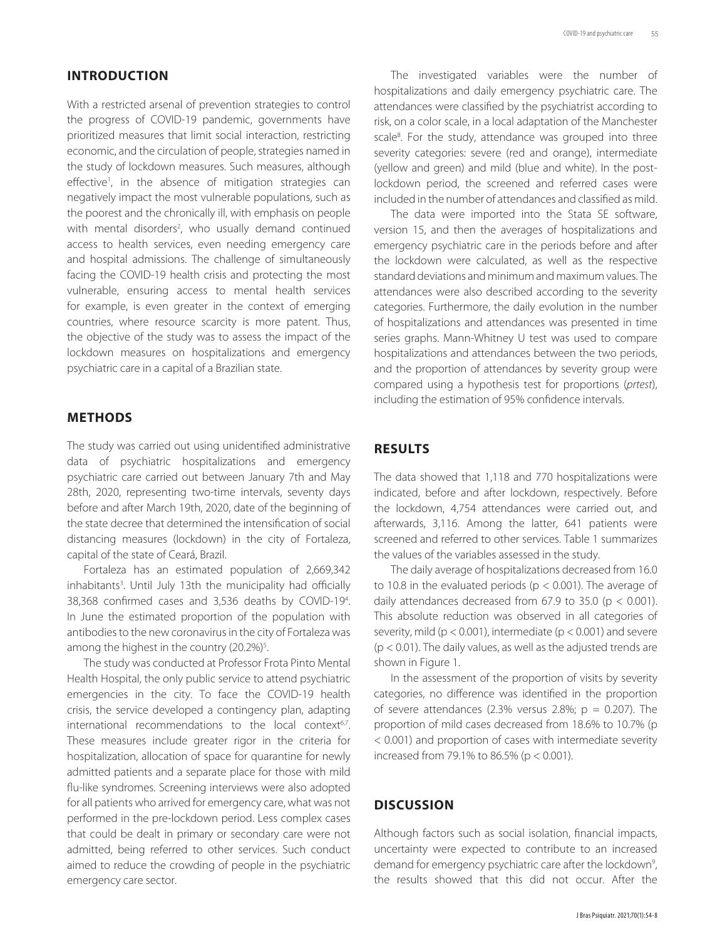### **INTRODUCTION**

With a restricted arsenal of prevention strategies to control the progress of COVID-19 pandemic, governments have prioritized measures that limit social interaction, restricting economic, and the circulation of people, strategies named in the study of lockdown measures. Such measures, although effective<sup>1</sup>, in the absence of mitigation strategies can negatively impact the most vulnerable populations, such as the poorest and the chronically ill, with emphasis on people with mental disorders<sup>2</sup>, who usually demand continued access to health services, even needing emergency care and hospital admissions. The challenge of simultaneously facing the COVID-19 health crisis and protecting the most vulnerable, ensuring access to mental health services for example, is even greater in the context of emerging countries, where resource scarcity is more patent. Thus, the objective of the study was to assess the impact of the lockdown measures on hospitalizations and emergency psychiatric care in a capital of a Brazilian state.

#### **METHODS**

The study was carried out using unidentified administrative data of psychiatric hospitalizations and emergency psychiatric care carried out between January 7th and May 28th, 2020, representing two-time intervals, seventy days before and after March 19th, 2020, date of the beginning of the state decree that determined the intensification of social distancing measures (lockdown) in the city of Fortaleza, capital of the state of Ceará, Brazil.

Fortaleza has an estimated population of 2,669,342 inhabitants<sup>3</sup>. Until July 13th the municipality had officially 38,368 confirmed cases and 3,536 deaths by COVID-19<sup>4</sup>. In June the estimated proportion of the population with antibodies to the new coronavirus in the city of Fortaleza was among the highest in the country  $(20.2\%)^5$ . .

The study was conducted at Professor Frota Pinto Mental Health Hospital, the only public service to attend psychiatric emergencies in the city. To face the COVID-19 health crisis, the service developed a contingency plan, adapting international recommendations to the local context<sup>6,7</sup>. These measures include greater rigor in the criteria for hospitalization, allocation of space for quarantine for newly admitted patients and a separate place for those with mild flu-like syndromes. Screening interviews were also adopted for all patients who arrived for emergency care, what was not performed in the pre-lockdown period. Less complex cases that could be dealt in primary or secondary care were not admitted, being referred to other services. Such conduct aimed to reduce the crowding of people in the psychiatric emergency care sector.

The investigated variables were the number of hospitalizations and daily emergency psychiatric care. The attendances were classified by the psychiatrist according to risk, on a color scale, in a local adaptation of the Manchester scale<sup>8</sup>. For the study, attendance was grouped into three severity categories: severe (red and orange), intermediate (yellow and green) and mild (blue and white). In the postlockdown period, the screened and referred cases were included in the number of attendances and classified as mild.

The data were imported into the Stata SE software, version 15, and then the averages of hospitalizations and emergency psychiatric care in the periods before and after the lockdown were calculated, as well as the respective standard deviations and minimum and maximum values. The attendances were also described according to the severity categories. Furthermore, the daily evolution in the number of hospitalizations and attendances was presented in time series graphs. Mann-Whitney U test was used to compare hospitalizations and attendances between the two periods, and the proportion of attendances by severity group were compared using a hypothesis test for proportions (*prtest*), including the estimation of 95% confidence intervals.

#### **RESULTS**

The data showed that 1,118 and 770 hospitalizations were indicated, before and after lockdown, respectively. Before the lockdown, 4,754 attendances were carried out, and afterwards, 3,116. Among the latter, 641 patients were screened and referred to other services. Table 1 summarizes the values of the variables assessed in the study.

The daily average of hospitalizations decreased from 16.0 to 10.8 in the evaluated periods ( $p < 0.001$ ). The average of daily attendances decreased from 67.9 to 35.0 ( $p < 0.001$ ). This absolute reduction was observed in all categories of severity, mild ( $p < 0.001$ ), intermediate ( $p < 0.001$ ) and severe (p < 0.01). The daily values, as well as the adjusted trends are shown in Figure 1.

In the assessment of the proportion of visits by severity categories, no difference was identified in the proportion of severe attendances (2.3% versus 2.8%;  $p = 0.207$ ). The proportion of mild cases decreased from 18.6% to 10.7% (p < 0.001) and proportion of cases with intermediate severity increased from 79.1% to 86.5% ( $p < 0.001$ ).

#### **DISCUSSION**

Although factors such as social isolation, financial impacts, uncertainty were expected to contribute to an increased demand for emergency psychiatric care after the lockdown<sup>9</sup>, the results showed that this did not occur. After the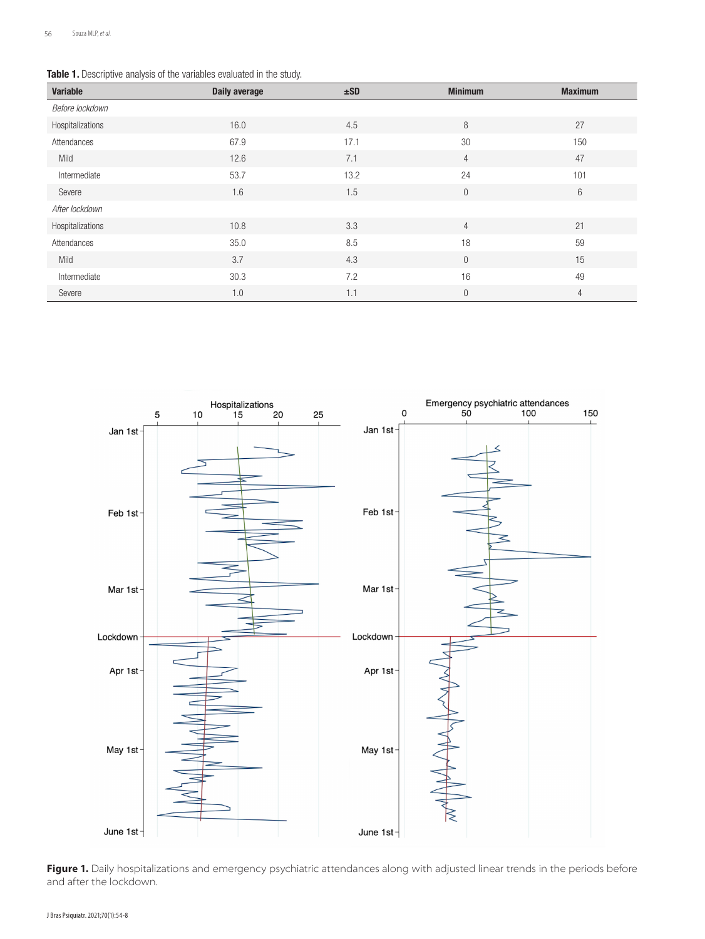#### Table 1. Descriptive analysis of the variables evaluated in the study.

| Variable         | <b>Daily average</b> | ±SD  | <b>Minimum</b> | <b>Maximum</b> |
|------------------|----------------------|------|----------------|----------------|
| Before lockdown  |                      |      |                |                |
| Hospitalizations | 16.0                 | 4.5  | 8              | 27             |
| Attendances      | 67.9                 | 17.1 | 30             | 150            |
| Mild             | 12.6                 | 7.1  | $\overline{4}$ | 47             |
| Intermediate     | 53.7                 | 13.2 | 24             | 101            |
| Severe           | 1.6                  | 1.5  | $\theta$       | $6\,$          |
| After lockdown   |                      |      |                |                |
| Hospitalizations | 10.8                 | 3.3  | $\overline{4}$ | 21             |
| Attendances      | 35.0                 | 8.5  | 18             | 59             |
| Mild             | 3.7                  | 4.3  | $\overline{0}$ | 15             |
| Intermediate     | 30.3                 | 7.2  | 16             | 49             |
| Severe           | 1.0                  | 1.1  | $\theta$       | $\overline{4}$ |



Figure 1. Daily hospitalizations and emergency psychiatric attendances along with adjusted linear trends in the periods before and after the lockdown.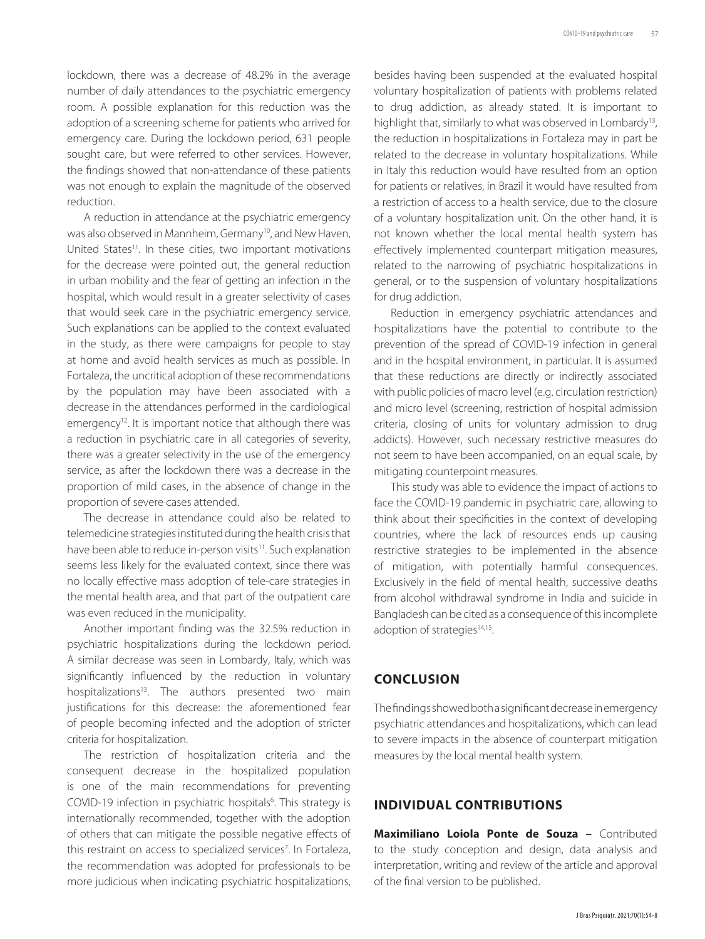lockdown, there was a decrease of 48.2% in the average number of daily attendances to the psychiatric emergency room. A possible explanation for this reduction was the adoption of a screening scheme for patients who arrived for emergency care. During the lockdown period, 631 people sought care, but were referred to other services. However, the findings showed that non-attendance of these patients was not enough to explain the magnitude of the observed reduction.

A reduction in attendance at the psychiatric emergency was also observed in Mannheim, Germany<sup>10</sup>, and New Haven, United States<sup>11</sup>. In these cities, two important motivations for the decrease were pointed out, the general reduction in urban mobility and the fear of getting an infection in the hospital, which would result in a greater selectivity of cases that would seek care in the psychiatric emergency service. Such explanations can be applied to the context evaluated in the study, as there were campaigns for people to stay at home and avoid health services as much as possible. In Fortaleza, the uncritical adoption of these recommendations by the population may have been associated with a decrease in the attendances performed in the cardiological emergency<sup>12</sup>. It is important notice that although there was a reduction in psychiatric care in all categories of severity, there was a greater selectivity in the use of the emergency service, as after the lockdown there was a decrease in the proportion of mild cases, in the absence of change in the proportion of severe cases attended.

The decrease in attendance could also be related to telemedicine strategies instituted during the health crisis that have been able to reduce in-person visits<sup>11</sup>. Such explanation seems less likely for the evaluated context, since there was no locally effective mass adoption of tele-care strategies in the mental health area, and that part of the outpatient care was even reduced in the municipality.

Another important finding was the 32.5% reduction in psychiatric hospitalizations during the lockdown period. A similar decrease was seen in Lombardy, Italy, which was significantly influenced by the reduction in voluntary hospitalizations<sup>13</sup>. The authors presented two main justifications for this decrease: the aforementioned fear of people becoming infected and the adoption of stricter criteria for hospitalization.

The restriction of hospitalization criteria and the consequent decrease in the hospitalized population is one of the main recommendations for preventing COVID-19 infection in psychiatric hospitals<sup>6</sup>. This strategy is internationally recommended, together with the adoption of others that can mitigate the possible negative effects of this restraint on access to specialized services<sup>7</sup>. In Fortaleza, the recommendation was adopted for professionals to be more judicious when indicating psychiatric hospitalizations, besides having been suspended at the evaluated hospital voluntary hospitalization of patients with problems related to drug addiction, as already stated. It is important to highlight that, similarly to what was observed in Lombardy<sup>13</sup>, the reduction in hospitalizations in Fortaleza may in part be related to the decrease in voluntary hospitalizations. While in Italy this reduction would have resulted from an option for patients or relatives, in Brazil it would have resulted from a restriction of access to a health service, due to the closure of a voluntary hospitalization unit. On the other hand, it is not known whether the local mental health system has effectively implemented counterpart mitigation measures, related to the narrowing of psychiatric hospitalizations in general, or to the suspension of voluntary hospitalizations for drug addiction.

Reduction in emergency psychiatric attendances and hospitalizations have the potential to contribute to the prevention of the spread of COVID-19 infection in general and in the hospital environment, in particular. It is assumed that these reductions are directly or indirectly associated with public policies of macro level (e.g. circulation restriction) and micro level (screening, restriction of hospital admission criteria, closing of units for voluntary admission to drug addicts). However, such necessary restrictive measures do not seem to have been accompanied, on an equal scale, by mitigating counterpoint measures.

This study was able to evidence the impact of actions to face the COVID-19 pandemic in psychiatric care, allowing to think about their specificities in the context of developing countries, where the lack of resources ends up causing restrictive strategies to be implemented in the absence of mitigation, with potentially harmful consequences. Exclusively in the field of mental health, successive deaths from alcohol withdrawal syndrome in India and suicide in Bangladesh can be cited as a consequence of this incomplete adoption of strategies<sup>14,15</sup>.

#### **CONCLUSION**

The findings showed both a significant decrease in emergency psychiatric attendances and hospitalizations, which can lead to severe impacts in the absence of counterpart mitigation measures by the local mental health system.

### **INDIVIDUAL CONTRIBUTIONS**

**Maximiliano Loiola Ponte de Souza –** Contributed to the study conception and design, data analysis and interpretation, writing and review of the article and approval of the final version to be published.